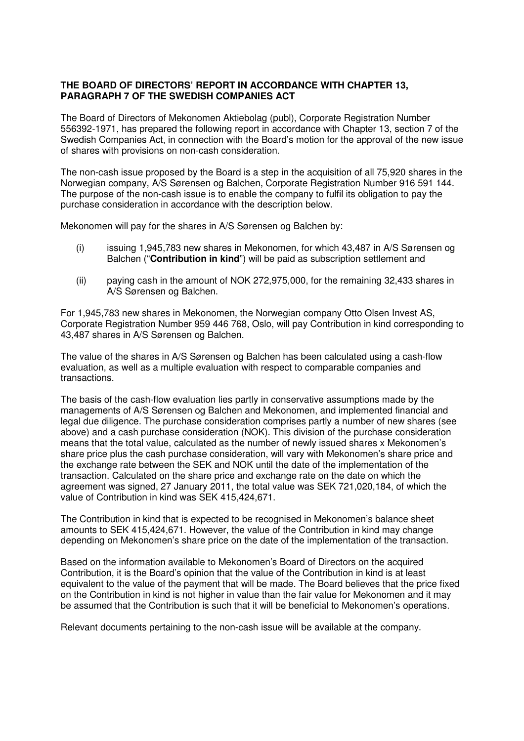## **THE BOARD OF DIRECTORS' REPORT IN ACCORDANCE WITH CHAPTER 13, PARAGRAPH 7 OF THE SWEDISH COMPANIES ACT**

The Board of Directors of Mekonomen Aktiebolag (publ), Corporate Registration Number 556392-1971, has prepared the following report in accordance with Chapter 13, section 7 of the Swedish Companies Act, in connection with the Board's motion for the approval of the new issue of shares with provisions on non-cash consideration.

The non-cash issue proposed by the Board is a step in the acquisition of all 75,920 shares in the Norwegian company, A/S Sørensen og Balchen, Corporate Registration Number 916 591 144. The purpose of the non-cash issue is to enable the company to fulfil its obligation to pay the purchase consideration in accordance with the description below.

Mekonomen will pay for the shares in A/S Sørensen og Balchen by:

- (i) issuing 1,945,783 new shares in Mekonomen, for which 43,487 in A/S Sørensen og Balchen ("**Contribution in kind**") will be paid as subscription settlement and
- (ii) paying cash in the amount of NOK 272,975,000, for the remaining 32,433 shares in A/S Sørensen og Balchen.

For 1,945,783 new shares in Mekonomen, the Norwegian company Otto Olsen Invest AS, Corporate Registration Number 959 446 768, Oslo, will pay Contribution in kind corresponding to 43,487 shares in A/S Sørensen og Balchen.

The value of the shares in A/S Sørensen og Balchen has been calculated using a cash-flow evaluation, as well as a multiple evaluation with respect to comparable companies and transactions.

The basis of the cash-flow evaluation lies partly in conservative assumptions made by the managements of A/S Sørensen og Balchen and Mekonomen, and implemented financial and legal due diligence. The purchase consideration comprises partly a number of new shares (see above) and a cash purchase consideration (NOK). This division of the purchase consideration means that the total value, calculated as the number of newly issued shares x Mekonomen's share price plus the cash purchase consideration, will vary with Mekonomen's share price and the exchange rate between the SEK and NOK until the date of the implementation of the transaction. Calculated on the share price and exchange rate on the date on which the agreement was signed, 27 January 2011, the total value was SEK 721,020,184, of which the value of Contribution in kind was SEK 415,424,671.

The Contribution in kind that is expected to be recognised in Mekonomen's balance sheet amounts to SEK 415,424,671. However, the value of the Contribution in kind may change depending on Mekonomen's share price on the date of the implementation of the transaction.

Based on the information available to Mekonomen's Board of Directors on the acquired Contribution, it is the Board's opinion that the value of the Contribution in kind is at least equivalent to the value of the payment that will be made. The Board believes that the price fixed on the Contribution in kind is not higher in value than the fair value for Mekonomen and it may be assumed that the Contribution is such that it will be beneficial to Mekonomen's operations.

Relevant documents pertaining to the non-cash issue will be available at the company.